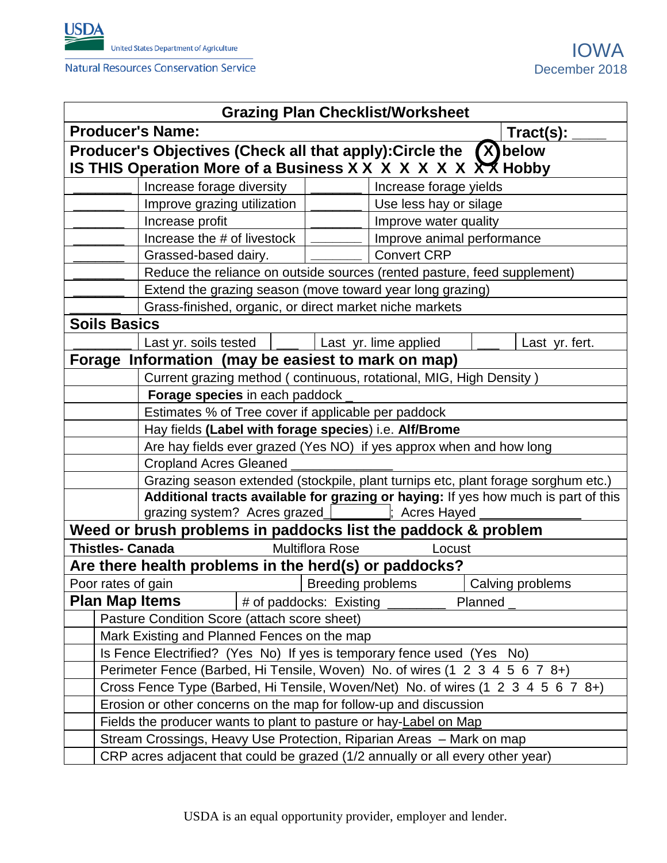

| <b>Grazing Plan Checklist/Worksheet</b>                            |                                                                                                                                   |                 |                            |                        |        |                  |  |  |  |
|--------------------------------------------------------------------|-----------------------------------------------------------------------------------------------------------------------------------|-----------------|----------------------------|------------------------|--------|------------------|--|--|--|
|                                                                    | <b>Producer's Name:</b>                                                                                                           | $Traction(s)$ : |                            |                        |        |                  |  |  |  |
| Producer's Objectives (Check all that apply): Circle the (X) below |                                                                                                                                   |                 |                            |                        |        |                  |  |  |  |
| IS THIS Operation More of a Business X X X X X X X X X Hobby       |                                                                                                                                   |                 |                            |                        |        |                  |  |  |  |
|                                                                    | Increase forage diversity                                                                                                         |                 |                            | Increase forage yields |        |                  |  |  |  |
| Improve grazing utilization                                        |                                                                                                                                   |                 | Use less hay or silage     |                        |        |                  |  |  |  |
| Increase profit                                                    |                                                                                                                                   |                 | Improve water quality      |                        |        |                  |  |  |  |
| Increase the # of livestock                                        |                                                                                                                                   |                 | Improve animal performance |                        |        |                  |  |  |  |
| Grassed-based dairy.                                               |                                                                                                                                   |                 |                            | <b>Convert CRP</b>     |        |                  |  |  |  |
|                                                                    | Reduce the reliance on outside sources (rented pasture, feed supplement)                                                          |                 |                            |                        |        |                  |  |  |  |
|                                                                    | Extend the grazing season (move toward year long grazing)                                                                         |                 |                            |                        |        |                  |  |  |  |
| Grass-finished, organic, or direct market niche markets            |                                                                                                                                   |                 |                            |                        |        |                  |  |  |  |
|                                                                    | <b>Soils Basics</b>                                                                                                               |                 |                            |                        |        |                  |  |  |  |
|                                                                    | Last yr. soils tested                                                                                                             |                 |                            | Last yr. lime applied  |        | Last yr. fert.   |  |  |  |
| Forage Information (may be easiest to mark on map)                 |                                                                                                                                   |                 |                            |                        |        |                  |  |  |  |
|                                                                    | Current grazing method (continuous, rotational, MIG, High Density)                                                                |                 |                            |                        |        |                  |  |  |  |
|                                                                    | Forage species in each paddock                                                                                                    |                 |                            |                        |        |                  |  |  |  |
|                                                                    | Estimates % of Tree cover if applicable per paddock                                                                               |                 |                            |                        |        |                  |  |  |  |
|                                                                    | Hay fields (Label with forage species) i.e. Alf/Brome                                                                             |                 |                            |                        |        |                  |  |  |  |
|                                                                    | Are hay fields ever grazed (Yes NO) if yes approx when and how long                                                               |                 |                            |                        |        |                  |  |  |  |
| <b>Cropland Acres Gleaned</b>                                      |                                                                                                                                   |                 |                            |                        |        |                  |  |  |  |
|                                                                    | Grazing season extended (stockpile, plant turnips etc, plant forage sorghum etc.)                                                 |                 |                            |                        |        |                  |  |  |  |
|                                                                    | Additional tracts available for grazing or haying: If yes how much is part of this<br>grazing system? Acres grazed<br>Acres Hayed |                 |                            |                        |        |                  |  |  |  |
| Weed or brush problems in paddocks list the paddock & problem      |                                                                                                                                   |                 |                            |                        |        |                  |  |  |  |
|                                                                    | <b>Thistles- Canada</b>                                                                                                           |                 | <b>Multiflora Rose</b>     |                        | Locust |                  |  |  |  |
|                                                                    | Are there health problems in the herd(s) or paddocks?                                                                             |                 |                            |                        |        |                  |  |  |  |
|                                                                    | Poor rates of gain                                                                                                                |                 | <b>Breeding problems</b>   |                        |        | Calving problems |  |  |  |
| Plan Map Items<br># of paddocks: Existing<br>Planned               |                                                                                                                                   |                 |                            |                        |        |                  |  |  |  |
|                                                                    | Pasture Condition Score (attach score sheet)                                                                                      |                 |                            |                        |        |                  |  |  |  |
|                                                                    | Mark Existing and Planned Fences on the map                                                                                       |                 |                            |                        |        |                  |  |  |  |
|                                                                    | Is Fence Electrified? (Yes No) If yes is temporary fence used (Yes No)                                                            |                 |                            |                        |        |                  |  |  |  |
|                                                                    | Perimeter Fence (Barbed, Hi Tensile, Woven) No. of wires (1 2 3 4 5 6 7 8+)                                                       |                 |                            |                        |        |                  |  |  |  |
|                                                                    | Cross Fence Type (Barbed, Hi Tensile, Woven/Net) No. of wires (1 2 3 4 5 6 7 8+)                                                  |                 |                            |                        |        |                  |  |  |  |
|                                                                    | Erosion or other concerns on the map for follow-up and discussion                                                                 |                 |                            |                        |        |                  |  |  |  |
|                                                                    | Fields the producer wants to plant to pasture or hay-Label on Map                                                                 |                 |                            |                        |        |                  |  |  |  |
|                                                                    | Stream Crossings, Heavy Use Protection, Riparian Areas - Mark on map                                                              |                 |                            |                        |        |                  |  |  |  |
|                                                                    | CRP acres adjacent that could be grazed (1/2 annually or all every other year)                                                    |                 |                            |                        |        |                  |  |  |  |